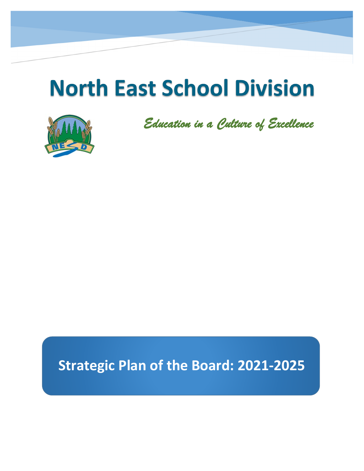# **North East School Division**



*Education in a Culture of Excellence*

## **Strategic Plan of the Board: 2021-2025**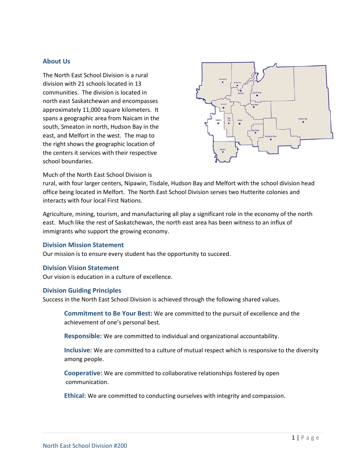## **About Us**

The North East School Division is a rural division with 21 schools located in 13 communities. The division is located in north east Saskatchewan and encompasses approximately 11,000 square kilometers. It spans a geographic area from Naicam in the south, Smeaton in north, Hudson Bay in the east, and Melfort in the west. The map to the right shows the geographic location of the centers it services with their respective school boundaries.



Much of the North East School Division is

rural, with four larger centers, Nipawin, Tisdale, Hudson Bay and Melfort with the school division head office being located in Melfort. The North East School Division serves two Hutterite colonies and interacts with four local First Nations.

Agriculture, mining, tourism, and manufacturing all play a significant role in the economy of the north east. Much like the rest of Saskatchewan, the north east area has been witness to an influx of immigrants who support the growing economy.

## **Division Mission Statement**

Our mission is to ensure every student has the opportunity to succeed.

#### **Division Vision Statement**

Our vision is education in a culture of excellence.

### **Division Guiding Principles**

Success in the North East School Division is achieved through the following shared values.

**Commitment to Be Your Best:** We are committed to the pursuit of excellence and the achievement of one's personal best.

**Responsible:** We are committed to individual and organizational accountability.

**Inclusive:** We are committed to a culture of mutual respect which is responsive to the diversity among people.

**Cooperative:** We are committed to collaborative relationships fostered by open communication.

**Ethical:** We are committed to conducting ourselves with integrity and compassion.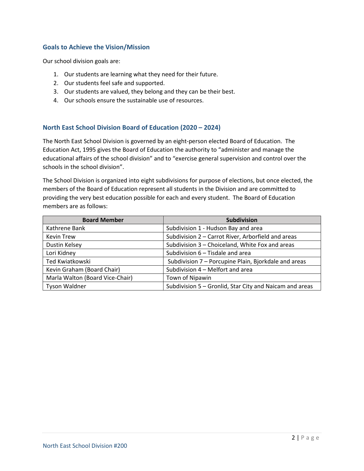## **Goals to Achieve the Vision/Mission**

Our school division goals are:

- 1. Our students are learning what they need for their future.
- 2. Our students feel safe and supported.
- 3. Our students are valued, they belong and they can be their best.
- 4. Our schools ensure the sustainable use of resources.

## **North East School Division Board of Education (2020 – 2024)**

The North East School Division is governed by an eight-person elected Board of Education. The Education Act, 1995 gives the Board of Education the authority to "administer and manage the educational affairs of the school division" and to "exercise general supervision and control over the schools in the school division".

The School Division is organized into eight subdivisions for purpose of elections, but once elected, the members of the Board of Education represent all students in the Division and are committed to providing the very best education possible for each and every student. The Board of Education members are as follows:

| <b>Board Member</b>             | <b>Subdivision</b>                                      |  |
|---------------------------------|---------------------------------------------------------|--|
| Kathrene Bank                   | Subdivision 1 - Hudson Bay and area                     |  |
| <b>Kevin Trew</b>               | Subdivision 2 - Carrot River, Arborfield and areas      |  |
| Dustin Kelsey                   | Subdivision 3 - Choiceland, White Fox and areas         |  |
| Lori Kidney                     | Subdivision 6 - Tisdale and area                        |  |
| Ted Kwiatkowski                 | Subdivision 7 – Porcupine Plain, Bjorkdale and areas    |  |
| Kevin Graham (Board Chair)      | Subdivision 4 - Melfort and area                        |  |
| Marla Walton (Board Vice-Chair) | Town of Nipawin                                         |  |
| <b>Tyson Waldner</b>            | Subdivision 5 - Gronlid, Star City and Naicam and areas |  |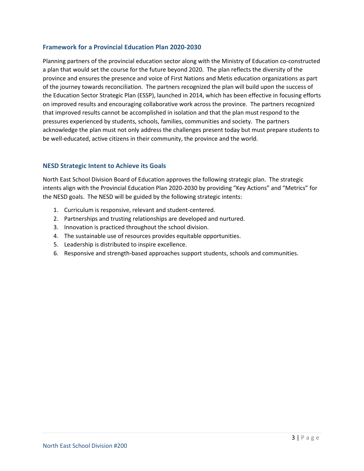## **Framework for a Provincial Education Plan 2020-2030**

Planning partners of the provincial education sector along with the Ministry of Education co-constructed a plan that would set the course for the future beyond 2020. The plan reflects the diversity of the province and ensures the presence and voice of First Nations and Metis education organizations as part of the journey towards reconciliation. The partners recognized the plan will build upon the success of the Education Sector Strategic Plan (ESSP), launched in 2014, which has been effective in focusing efforts on improved results and encouraging collaborative work across the province. The partners recognized that improved results cannot be accomplished in isolation and that the plan must respond to the pressures experienced by students, schools, families, communities and society. The partners acknowledge the plan must not only address the challenges present today but must prepare students to be well-educated, active citizens in their community, the province and the world.

## **NESD Strategic Intent to Achieve its Goals**

North East School Division Board of Education approves the following strategic plan. The strategic intents align with the Provincial Education Plan 2020-2030 by providing "Key Actions" and "Metrics" for the NESD goals. The NESD will be guided by the following strategic intents:

- 1. Curriculum is responsive, relevant and student-centered.
- 2. Partnerships and trusting relationships are developed and nurtured.
- 3. Innovation is practiced throughout the school division.
- 4. The sustainable use of resources provides equitable opportunities.
- 5. Leadership is distributed to inspire excellence.
- 6. Responsive and strength-based approaches support students, schools and communities.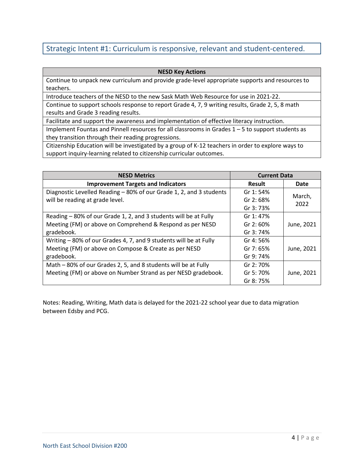## Strategic Intent #1: Curriculum is responsive, relevant and student-centered.

### **NESD Key Actions**

Continue to unpack new curriculum and provide grade-level appropriate supports and resources to teachers.

Introduce teachers of the NESD to the new Sask Math Web Resource for use in 2021-22.

Continue to support schools response to report Grade 4, 7, 9 writing results, Grade 2, 5, 8 math results and Grade 3 reading results.

Facilitate and support the awareness and implementation of effective literacy instruction.

Implement Fountas and Pinnell resources for all classrooms in Grades 1 – 5 to support students as they transition through their reading progressions.

Citizenship Education will be investigated by a group of K-12 teachers in order to explore ways to support inquiry-learning related to citizenship curricular outcomes.

| <b>NESD Metrics</b>                                                 | <b>Current Data</b> |                |
|---------------------------------------------------------------------|---------------------|----------------|
| <b>Improvement Targets and Indicators</b>                           | Result              | Date           |
| Diagnostic Levelled Reading - 80% of our Grade 1, 2, and 3 students | Gr 1:54%            | March,<br>2022 |
| will be reading at grade level.                                     | Gr $2:68%$          |                |
|                                                                     | Gr 3: 73%           |                |
| Reading - 80% of our Grade 1, 2, and 3 students will be at Fully    | Gr 1:47%            |                |
| Meeting (FM) or above on Comprehend & Respond as per NESD           | Gr $2:60%$          | June, 2021     |
| gradebook.                                                          | Gr 3: 74%           |                |
| Writing - 80% of our Grades 4, 7, and 9 students will be at Fully   | Gr 4: 56%           |                |
| Meeting (FM) or above on Compose & Create as per NESD               | Gr 7: $65%$         | June, 2021     |
| gradebook.                                                          | Gr 9: 74%           |                |
| Math – 80% of our Grades 2, 5, and 8 students will be at Fully      | Gr 2: 70%           |                |
| Meeting (FM) or above on Number Strand as per NESD gradebook.       | Gr 5: 70%           | June, 2021     |
|                                                                     | Gr 8: 75%           |                |

Notes: Reading, Writing, Math data is delayed for the 2021-22 school year due to data migration between Edsby and PCG.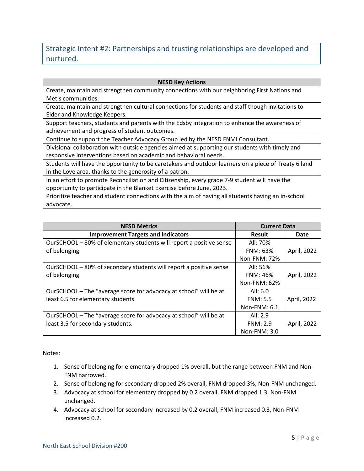## Strategic Intent #2: Partnerships and trusting relationships are developed and nurtured.

### **NESD Key Actions**

Create, maintain and strengthen community connections with our neighboring First Nations and Metis communities.

Create, maintain and strengthen cultural connections for students and staff though invitations to Elder and Knowledge Keepers.

Support teachers, students and parents with the Edsby integration to enhance the awareness of achievement and progress of student outcomes.

Continue to support the Teacher Advocacy Group led by the NESD FNMI Consultant.

Divisional collaboration with outside agencies aimed at supporting our students with timely and responsive interventions based on academic and behavioral needs.

Students will have the opportunity to be caretakers and outdoor learners on a piece of Treaty 6 land in the Love area, thanks to the generosity of a patron.

In an effort to promote Reconciliation and Citizenship, every grade 7-9 student will have the opportunity to participate in the Blanket Exercise before June, 2023.

Prioritize teacher and student connections with the aim of having all students having an in-school advocate.

| <b>NESD Metrics</b>                                                 | <b>Current Data</b> |             |
|---------------------------------------------------------------------|---------------------|-------------|
| <b>Improvement Targets and Indicators</b>                           | Result              | Date        |
| OurSCHOOL - 80% of elementary students will report a positive sense | All: 70%            |             |
| of belonging.                                                       | <b>FNM: 63%</b>     | April, 2022 |
|                                                                     | Non-FNM: 72%        |             |
| OurSCHOOL - 80% of secondary students will report a positive sense  | All: 56%            |             |
| of belonging.                                                       | <b>FNM: 46%</b>     | April, 2022 |
|                                                                     | Non-FNM: 62%        |             |
| OurSCHOOL - The "average score for advocacy at school" will be at   | All: 6.0            |             |
| least 6.5 for elementary students.                                  | FNM: 5.5            | April, 2022 |
|                                                                     | Non-FNM: 6.1        |             |
| OurSCHOOL - The "average score for advocacy at school" will be at   | All: $2.9$          |             |
| least 3.5 for secondary students.                                   | FNM: 2.9            | April, 2022 |
|                                                                     | Non-FNM: $3.0$      |             |

Notes:

- 1. Sense of belonging for elementary dropped 1% overall, but the range between FNM and Non-FNM narrowed.
- 2. Sense of belonging for secondary dropped 2% overall, FNM dropped 3%, Non-FNM unchanged.
- 3. Advocacy at school for elementary dropped by 0.2 overall, FNM dropped 1.3, Non-FNM unchanged.
- 4. Advocacy at school for secondary increased by 0.2 overall, FNM increased 0.3, Non-FNM increased 0.2.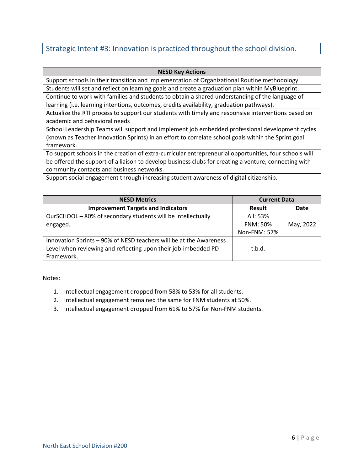## Strategic Intent #3: Innovation is practiced throughout the school division.

### **NESD Key Actions**

Support schools in their transition and implementation of Organizational Routine methodology. Students will set and reflect on learning goals and create a graduation plan within MyBlueprint.

Continue to work with families and students to obtain a shared understanding of the language of learning (i.e. learning intentions, outcomes, credits availability, graduation pathways).

Actualize the RTI process to support our students with timely and responsive interventions based on academic and behavioral needs

School Leadership Teams will support and implement job embedded professional development cycles (known as Teacher Innovation Sprints) in an effort to correlate school goals within the Sprint goal framework.

To support schools in the creation of extra-curricular entrepreneurial opportunities, four schools will be offered the support of a liaison to develop business clubs for creating a venture, connecting with community contacts and business networks.

Support social engagement through increasing student awareness of digital citizenship.

| <b>NESD Metrics</b>                                                                                                                  | <b>Current Data</b> |           |
|--------------------------------------------------------------------------------------------------------------------------------------|---------------------|-----------|
| <b>Improvement Targets and Indicators</b>                                                                                            | <b>Result</b>       | Date      |
| OurSCHOOL - 80% of secondary students will be intellectually                                                                         | All: 53%            |           |
| engaged.                                                                                                                             | <b>FNM: 50%</b>     | May, 2022 |
|                                                                                                                                      | Non-FNM: 57%        |           |
| Innovation Sprints - 90% of NESD teachers will be at the Awareness<br>Level when reviewing and reflecting upon their job-imbedded PD | t.b.d.              |           |
| Framework.                                                                                                                           |                     |           |

Notes:

- 1. Intellectual engagement dropped from 58% to 53% for all students.
- 2. Intellectual engagement remained the same for FNM students at 50%.
- 3. Intellectual engagement dropped from 61% to 57% for Non-FNM students.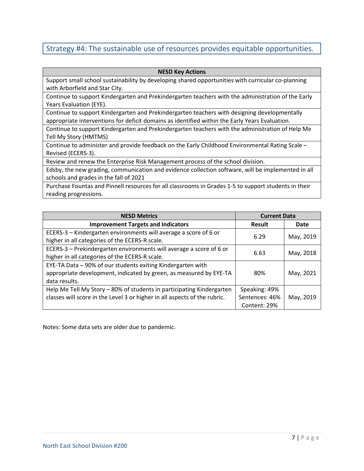## Strategy #4: The sustainable use of resources provides equitable opportunities.

#### **NESD Key Actions**

Support small school sustainability by developing shared opportunities with curricular co-planning with Arborfield and Star City.

Continue to support Kindergarten and Prekindergarten teachers with the administration of the Early Years Evaluation (EYE).

Continue to support Kindergarten and Prekindergarten teachers with designing developmentally appropriate interventions for deficit domains as identified within the Early Years Evaluation.

Continue to support Kindergarten and Prekindergarten teachers with the administration of Help Me Tell My Story (HMTMS)

Continue to administer and provide feedback on the Early Childhood Environmental Rating Scale – Revised (ECERS-3).

Review and renew the Enterprise Risk Management process of the school division.

Edsby, the new grading, communication and evidence collection software, will be implemented in all schools and grades in the fall of 2021

Purchase Fountas and Pinnell resources for all classrooms in Grades 1-5 to support students in their reading progressions.

| <b>NESD Metrics</b>                                                       | <b>Current Data</b> |           |
|---------------------------------------------------------------------------|---------------------|-----------|
| <b>Improvement Targets and Indicators</b>                                 | Result              | Date      |
| ECERS-3 - Kindergarten environments will average a score of 6 or          |                     |           |
| higher in all categories of the ECERS-R scale.                            | 6.29                | May, 2019 |
| ECERS-3 - Prekindergarten environments will average a score of 6 or       | 6.63                |           |
| higher in all categories of the ECERS-R scale.                            |                     | May, 2018 |
| EYE-TA Data - 90% of our students exiting Kindergarten with               |                     |           |
| appropriate development, indicated by green, as measured by EYE-TA        | 80%                 | May, 2021 |
| data results.                                                             |                     |           |
| Help Me Tell My Story - 80% of students in participating Kindergarten     | Speaking: 49%       |           |
| classes will score in the Level 3 or higher in all aspects of the rubric. | Sentences: 46%      | May, 2019 |
|                                                                           | Content: 29%        |           |

Notes: Some data sets are older due to pandemic.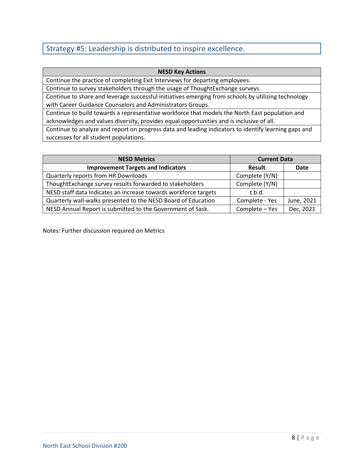## Strategy #5: Leadership is distributed to inspire excellence.

## **NESD Key Actions**

Continue the practice of completing Exit Interviews for departing employees.

Continue to survey stakeholders through the usage of ThoughtExchange surveys.

Continue to share and leverage successful initiatives emerging from schools by utilizing technology with Career Guidance Counselors and Administrators Groups.

Continue to build towards a representative workforce that models the North East population and acknowledges and values diversity, provides equal opportunities and is inclusive of all.

Continue to analyze and report on progress data and leading indicators to identify learning gaps and successes for all student populations.

| <b>NESD Metrics</b>                                             | <b>Current Data</b> |            |
|-----------------------------------------------------------------|---------------------|------------|
| <b>Improvement Targets and Indicators</b>                       | <b>Result</b>       | Date       |
| Quarterly reports from HR Downloads                             | Complete (Y/N)      |            |
| ThoughtExchange survey results forwarded to stakeholders        | Complete (Y/N)      |            |
| NESD staff data indicates an increase towards workforce targets | t.b.d.              |            |
| Quarterly wall-walks presented to the NESD Board of Education   | Complete - Yes      | June, 2021 |
| NESD Annual Report is submitted to the Government of Sask.      | Complete - Yes      | Dec, 2021  |

Notes: Further discussion required on Metrics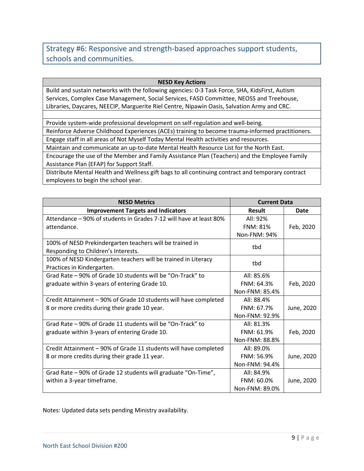## Strategy #6: Responsive and strength-based approaches support students, schools and communities.

### **NESD Key Actions**

Build and sustain networks with the following agencies: 0-3 Task Force, SHA, KidsFirst, Autism Services, Complex Case Management, Social Services, FASD Committee, NEOSS and Treehouse, Libraries, Daycares, NEECIP, Marguerite Riel Centre, Nipawin Oasis, Salvation Army and CRC.

Provide system-wide professional development on self-regulation and well-being.

Reinforce Adverse Childhood Experiences (ACEs) training to become trauma-informed practitioners. Engage staff in all areas of Not Myself Today Mental Health activities and resources.

Maintain and communicate an up-to-date Mental Health Resource List for the North East.

Encourage the use of the Member and Family Assistance Plan (Teachers) and the Employee Family Assistance Plan (EFAP) for Support Staff.

Distribute Mental Health and Wellness gift bags to all continuing contract and temporary contract employees to begin the school year.

| <b>NESD Metrics</b>                                                | <b>Current Data</b> |            |
|--------------------------------------------------------------------|---------------------|------------|
| <b>Improvement Targets and Indicators</b>                          | <b>Result</b>       | Date       |
| Attendance - 90% of students in Grades 7-12 will have at least 80% | All: 92%            |            |
| attendance.                                                        | <b>FNM: 81%</b>     | Feb, 2020  |
|                                                                    | <b>Non-FNM: 94%</b> |            |
| 100% of NESD Prekindergarten teachers will be trained in           | tbd                 |            |
| Responding to Children's Interests.                                |                     |            |
| 100% of NESD Kindergarten teachers will be trained in Literacy     | tbd                 |            |
| Practices in Kindergarten.                                         |                     |            |
| Grad Rate - 90% of Grade 10 students will be "On-Track" to         | All: 85.6%          |            |
| graduate within 3-years of entering Grade 10.                      | FNM: 64.3%          | Feb, 2020  |
|                                                                    | Non-FNM: 85.4%      |            |
| Credit Attainment - 90% of Grade 10 students will have completed   | All: 88.4%          |            |
| 8 or more credits during their grade 10 year.                      | FNM: 67.7%          | June, 2020 |
|                                                                    | Non-FNM: 92.9%      |            |
| Grad Rate – 90% of Grade 11 students will be "On-Track" to         | All: 81.3%          |            |
| graduate within 3-years of entering Grade 10.                      | FNM: 61.9%          | Feb, 2020  |
|                                                                    | Non-FNM: 88.8%      |            |
| Credit Attainment - 90% of Grade 11 students will have completed   | All: 89.0%          |            |
| 8 or more credits during their grade 11 year.                      | FNM: 56.9%          | June, 2020 |
|                                                                    | Non-FNM: 94.4%      |            |
| Grad Rate - 90% of Grade 12 students will graduate "On-Time",      | All: 84.9%          |            |
| within a 3-year timeframe.                                         | FNM: 60.0%          | June, 2020 |
|                                                                    | Non-FNM: 89.0%      |            |

Notes: Updated data sets pending Ministry availability.